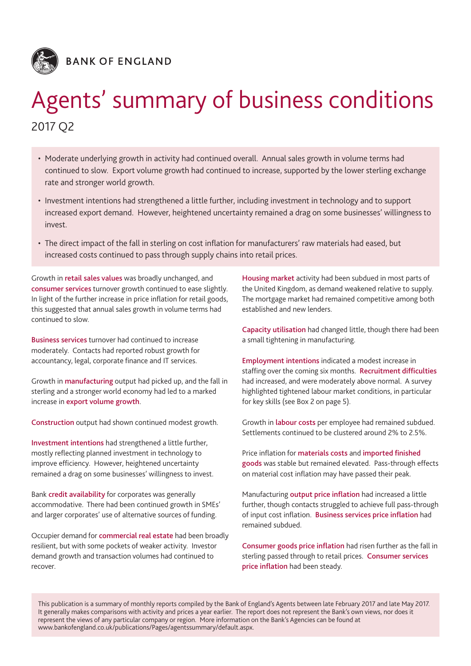

**BANK OF ENGLAND** 

# Agents' summary of business conditions 2017 Q2

- • Moderate underlying growth in activity had continued overall. Annual sales growth in volume terms had continued to slow. Export volume growth had continued to increase, supported by the lower sterling exchange rate and stronger world growth.
- Investment intentions had strengthened a little further, including investment in technology and to support increased export demand. However, heightened uncertainty remained a drag on some businesses' willingness to invest.
- The direct impact of the fall in sterling on cost inflation for manufacturers' raw materials had eased, but increased costs continued to pass through supply chains into retail prices.

Growth in retail sales values was broadly unchanged, and consumer services turnover growth continued to ease slightly. In light of the further increase in price inflation for retail goods, this suggested that annual sales growth in volume terms had continued to slow.

Business services turnover had continued to increase moderately. Contacts had reported robust growth for accountancy, legal, corporate finance and IT services.

Growth in manufacturing output had picked up, and the fall in sterling and a stronger world economy had led to a marked increase in export volume growth.

Construction output had shown continued modest growth.

Investment intentions had strengthened a little further, mostly reflecting planned investment in technology to improve efficiency. However, heightened uncertainty remained a drag on some businesses' willingness to invest.

Bank credit availability for corporates was generally accommodative. There had been continued growth in SMEs' and larger corporates' use of alternative sources of funding.

Occupier demand for commercial real estate had been broadly resilient, but with some pockets of weaker activity. Investor demand growth and transaction volumes had continued to recover.

Housing market activity had been subdued in most parts of the United Kingdom, as demand weakened relative to supply. The mortgage market had remained competitive among both established and new lenders.

Capacity utilisation had changed little, though there had been a small tightening in manufacturing.

Employment intentions indicated a modest increase in staffing over the coming six months. Recruitment difficulties had increased, and were moderately above normal. A survey highlighted tightened labour market conditions, in particular for key skills (see Box 2 on page 5).

Growth in labour costs per employee had remained subdued. Settlements continued to be clustered around 2% to 2.5%.

Price inflation for materials costs and imported finished goods was stable but remained elevated. Pass-through effects on material cost inflation may have passed their peak.

Manufacturing output price inflation had increased a little further, though contacts struggled to achieve full pass-through of input cost inflation. Business services price inflation had remained subdued.

Consumer goods price inflation had risen further as the fall in sterling passed through to retail prices. Consumer services price inflation had been steady.

This publication is a summary of monthly reports compiled by the Bank of England's Agents between late February 2017 and late May 2017. It generally makes comparisons with activity and prices a year earlier. The report does not represent the Bank's own views, nor does it represent the views of any particular company or region. More information on the Bank's Agencies can be found at [www.bankofengland.co.uk/publications/Pages/agentssummary/default.aspx](http://www.bankofengland.co.uk/publications/Pages/agentssummary/default.aspx).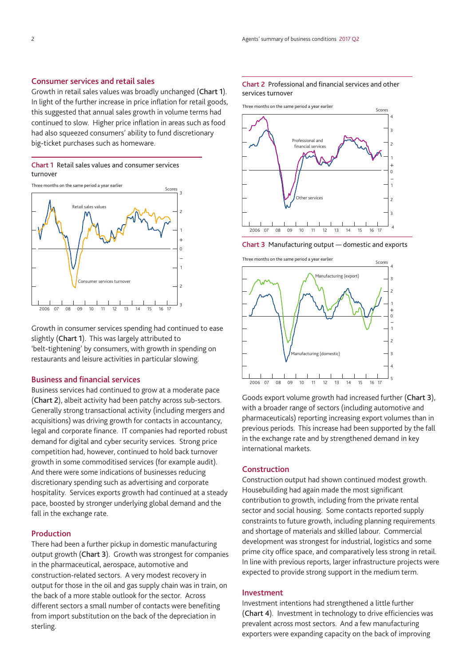#### Consumer services and retail sales

Growth in retail sales values was broadly unchanged (Chart 1). In light of the further increase in price inflation for retail goods, this suggested that annual sales growth in volume terms had continued to slow. Higher price inflation in areas such as food had also squeezed consumers' ability to fund discretionary big-ticket purchases such as homeware.

2

3

#### Chart 1 Retail sales values and consumer services turnover





Growth in consumer services spending had continued to ease slightly (Chart 1). This was largely attributed to 'belt-tightening' by consumers, with growth in spending on restaurants and leisure activities in particular slowing.

#### Business and financial services

Business services had continued to grow at a moderate pace (Chart 2), albeit activity had been patchy across sub-sectors. Generally strong transactional activity (including mergers and acquisitions) was driving growth for contacts in accountancy, legal and corporate finance. IT companies had reported robust demand for digital and cyber security services. Strong price competition had, however, continued to hold back turnover growth in some commoditised services (for example audit). And there were some indications of businesses reducing discretionary spending such as advertising and corporate hospitality. Services exports growth had continued at a steady pace, boosted by stronger underlying global demand and the fall in the exchange rate.

#### Production

There had been a further pickup in domestic manufacturing output growth (Chart 3). Growth was strongest for companies in the pharmaceutical, aerospace, automotive and construction-related sectors. A very modest recovery in output for those in the oil and gas supply chain was in train, on the back of a more stable outlook for the sector. Across different sectors a small number of contacts were benefiting from import substitution on the back of the depreciation in sterling.

#### Chart 2 Professional and financial services and other services turnover

Three months on the same period a year earlier



Chart 3 Manufacturing output — domestic and exports





Goods export volume growth had increased further (Chart 3), with a broader range of sectors (including automotive and pharmaceuticals) reporting increasing export volumes than in previous periods. This increase had been supported by the fall in the exchange rate and by strengthened demand in key international markets.

#### **Construction**

Construction output had shown continued modest growth. Housebuilding had again made the most significant contribution to growth, including from the private rental sector and social housing. Some contacts reported supply constraints to future growth, including planning requirements and shortage of materials and skilled labour. Commercial development was strongest for industrial, logistics and some prime city office space, and comparatively less strong in retail. In line with previous reports, larger infrastructure projects were expected to provide strong support in the medium term.

#### Investment

Investment intentions had strengthened a little further (Chart 4). Investment in technology to drive efficiencies was prevalent across most sectors. And a few manufacturing exporters were expanding capacity on the back of improving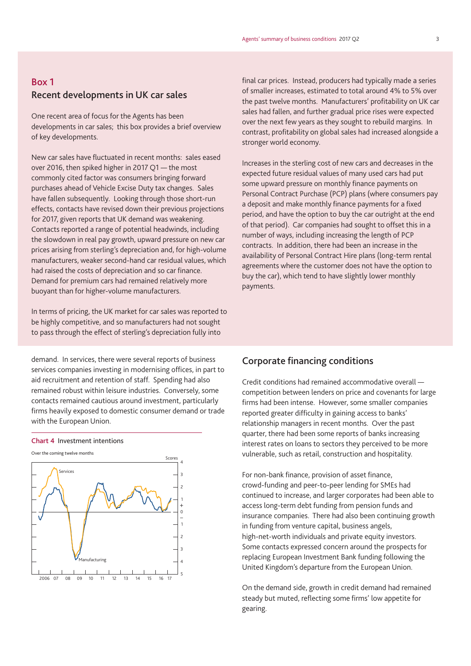# Box 1 Recent developments in UK car sales

One recent area of focus for the Agents has been developments in car sales; this box provides a brief overview of key developments.

New car sales have fluctuated in recent months: sales eased over 2016, then spiked higher in 2017 Q1 — the most commonly cited factor was consumers bringing forward purchases ahead of Vehicle Excise Duty tax changes. Sales have fallen subsequently. Looking through those short-run effects, contacts have revised down their previous projections for 2017, given reports that UK demand was weakening. Contacts reported a range of potential headwinds, including the slowdown in real pay growth, upward pressure on new car prices arising from sterling's depreciation and, for high-volume manufacturers, weaker second-hand car residual values, which had raised the costs of depreciation and so car finance. Demand for premium cars had remained relatively more buoyant than for higher-volume manufacturers.

In terms of pricing, the UK market for car sales was reported to be highly competitive, and so manufacturers had not sought to pass through the effect of sterling's depreciation fully into

demand. In services, there were several reports of business services companies investing in modernising offices, in part to aid recruitment and retention of staff. Spending had also remained robust within leisure industries. Conversely, some contacts remained cautious around investment, particularly firms heavily exposed to domestic consumer demand or trade with the European Union.





final car prices. Instead, producers had typically made a series of smaller increases, estimated to total around 4% to 5% over the past twelve months. Manufacturers' profitability on UK car sales had fallen, and further gradual price rises were expected over the next few years as they sought to rebuild margins. In contrast, profitability on global sales had increased alongside a stronger world economy.

Increases in the sterling cost of new cars and decreases in the expected future residual values of many used cars had put some upward pressure on monthly finance payments on Personal Contract Purchase (PCP) plans (where consumers pay a deposit and make monthly finance payments for a fixed period, and have the option to buy the car outright at the end of that period). Car companies had sought to offset this in a number of ways, including increasing the length of PCP contracts. In addition, there had been an increase in the availability of Personal Contract Hire plans (long-term rental agreements where the customer does not have the option to buy the car), which tend to have slightly lower monthly payments.

# Corporate financing conditions

Credit conditions had remained accommodative overall competition between lenders on price and covenants for large firms had been intense. However, some smaller companies reported greater difficulty in gaining access to banks' relationship managers in recent months. Over the past quarter, there had been some reports of banks increasing interest rates on loans to sectors they perceived to be more vulnerable, such as retail, construction and hospitality.

For non-bank finance, provision of asset finance, crowd-funding and peer-to-peer lending for SMEs had continued to increase, and larger corporates had been able to access long-term debt funding from pension funds and insurance companies. There had also been continuing growth in funding from venture capital, business angels, high-net-worth individuals and private equity investors. Some contacts expressed concern around the prospects for replacing European Investment Bank funding following the United Kingdom's departure from the European Union.

On the demand side, growth in credit demand had remained steady but muted, reflecting some firms' low appetite for gearing.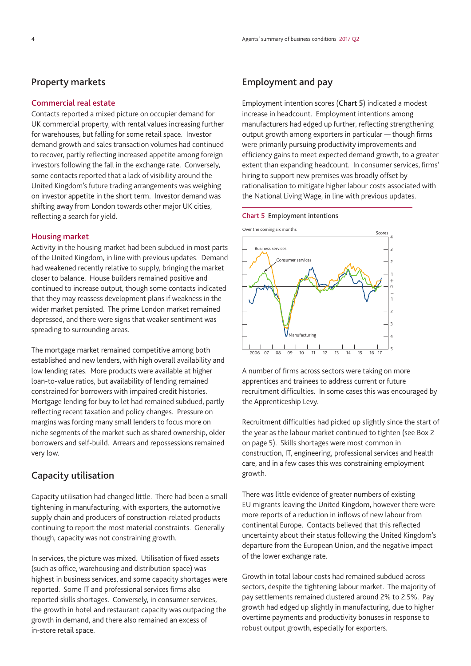## Property markets

#### Commercial real estate

Contacts reported a mixed picture on occupier demand for UK commercial property, with rental values increasing further for warehouses, but falling for some retail space. Investor demand growth and sales transaction volumes had continued to recover, partly reflecting increased appetite among foreign investors following the fall in the exchange rate. Conversely, some contacts reported that a lack of visibility around the United Kingdom's future trading arrangements was weighing on investor appetite in the short term. Investor demand was shifting away from London towards other major UK cities, reflecting a search for yield.

#### Housing market

Activity in the housing market had been subdued in most parts of the United Kingdom, in line with previous updates. Demand had weakened recently relative to supply, bringing the market closer to balance. House builders remained positive and continued to increase output, though some contacts indicated that they may reassess development plans if weakness in the wider market persisted. The prime London market remained depressed, and there were signs that weaker sentiment was spreading to surrounding areas.

The mortgage market remained competitive among both established and new lenders, with high overall availability and low lending rates. More products were available at higher loan-to-value ratios, but availability of lending remained constrained for borrowers with impaired credit histories. Mortgage lending for buy to let had remained subdued, partly reflecting recent taxation and policy changes. Pressure on margins was forcing many small lenders to focus more on niche segments of the market such as shared ownership, older borrowers and self-build. Arrears and repossessions remained very low.

# Capacity utilisation

Capacity utilisation had changed little. There had been a small tightening in manufacturing, with exporters, the automotive supply chain and producers of construction-related products continuing to report the most material constraints. Generally though, capacity was not constraining growth.

In services, the picture was mixed. Utilisation of fixed assets (such as office, warehousing and distribution space) was highest in business services, and some capacity shortages were reported. Some IT and professional services firms also reported skills shortages. Conversely, in consumer services, the growth in hotel and restaurant capacity was outpacing the growth in demand, and there also remained an excess of in-store retail space.

# Employment and pay

Employment intention scores (Chart 5) indicated a modest increase in headcount. Employment intentions among manufacturers had edged up further, reflecting strengthening output growth among exporters in particular — though firms were primarily pursuing productivity improvements and efficiency gains to meet expected demand growth, to a greater extent than expanding headcount. In consumer services, firms' hiring to support new premises was broadly offset by rationalisation to mitigate higher labour costs associated with the National Living Wage, in line with previous updates.

#### Chart 5 Employment intentions

Over the coming six months



A number of firms across sectors were taking on more apprentices and trainees to address current or future recruitment difficulties. In some cases this was encouraged by the Apprenticeship Levy.

Recruitment difficulties had picked up slightly since the start of the year as the labour market continued to tighten (see Box 2 on page 5). Skills shortages were most common in construction, IT, engineering, professional services and health care, and in a few cases this was constraining employment growth.

There was little evidence of greater numbers of existing EU migrants leaving the United Kingdom, however there were more reports of a reduction in inflows of new labour from continental Europe. Contacts believed that this reflected uncertainty about their status following the United Kingdom's departure from the European Union, and the negative impact of the lower exchange rate.

Growth in total labour costs had remained subdued across sectors, despite the tightening labour market. The majority of pay settlements remained clustered around 2% to 2.5%. Pay growth had edged up slightly in manufacturing, due to higher overtime payments and productivity bonuses in response to robust output growth, especially for exporters.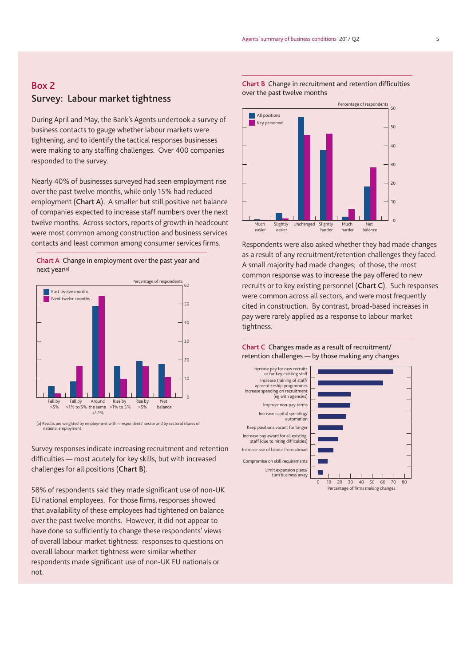# Box 2 Survey: Labour market tightness

During April and May, the Bank's Agents undertook a survey of business contacts to gauge whether labour markets were tightening, and to identify the tactical responses businesses were making to any staffing challenges. Over 400 companies responded to the survey.

Nearly 40% of businesses surveyed had seen employment rise over the past twelve months, while only 15% had reduced employment (Chart A). A smaller but still positive net balance of companies expected to increase staff numbers over the next twelve months. Across sectors, reports of growth in headcount were most common among construction and business services contacts and least common among consumer services firms.





(a) Results are weighted by employment within respondents' sector and by sectoral shares of national employment.

Survey responses indicate increasing recruitment and retention difficulties — most acutely for key skills, but with increased challenges for all positions (Chart B).

58% of respondents said they made significant use of non-UK EU national employees. For those firms, responses showed that availability of these employees had tightened on balance over the past twelve months. However, it did not appear to have done so sufficiently to change these respondents' views of overall labour market tightness: responses to questions on overall labour market tightness were similar whether respondents made significant use of non-UK EU nationals or not.

Chart B Change in recruitment and retention difficulties over the past twelve months



Respondents were also asked whether they had made changes as a result of any recruitment/retention challenges they faced. A small majority had made changes; of those, the most common response was to increase the pay offered to new recruits or to key existing personnel (Chart C). Such responses were common across all sectors, and were most frequently cited in construction. By contrast, broad-based increases in pay were rarely applied as a response to labour market tightness.

#### Chart C Changes made as a result of recruitment/ retention challenges — by those making any changes